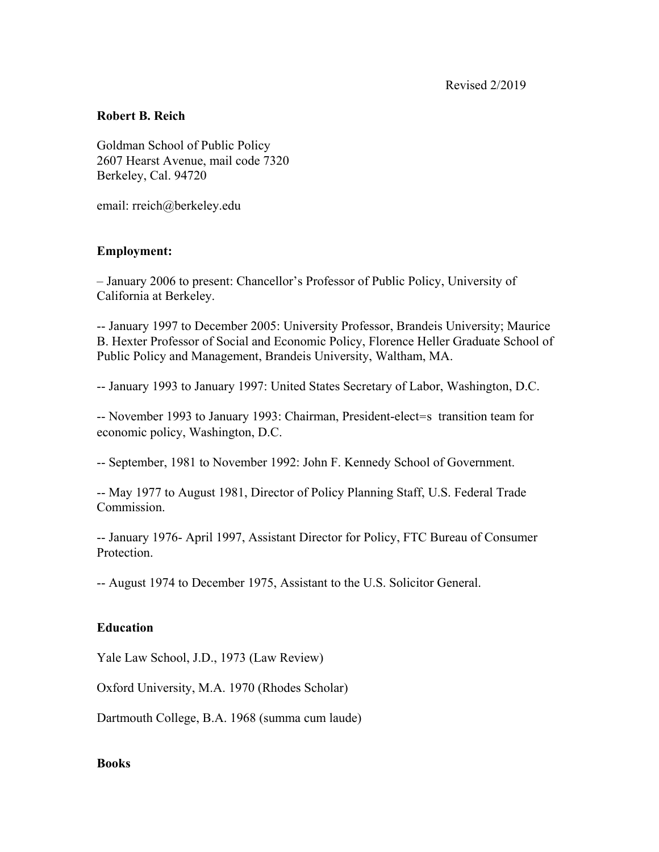Revised 2/2019

## **Robert B. Reich**

Goldman School of Public Policy 2607 Hearst Avenue, mail code 7320 Berkeley, Cal. 94720

email: rreich@berkeley.edu

# **Employment:**

– January 2006 to present: Chancellor's Professor of Public Policy, University of California at Berkeley.

-- January 1997 to December 2005: University Professor, Brandeis University; Maurice B. Hexter Professor of Social and Economic Policy, Florence Heller Graduate School of Public Policy and Management, Brandeis University, Waltham, MA.

-- January 1993 to January 1997: United States Secretary of Labor, Washington, D.C.

-- November 1993 to January 1993: Chairman, President-elect=s transition team for economic policy, Washington, D.C.

-- September, 1981 to November 1992: John F. Kennedy School of Government.

-- May 1977 to August 1981, Director of Policy Planning Staff, U.S. Federal Trade Commission.

-- January 1976- April 1997, Assistant Director for Policy, FTC Bureau of Consumer Protection.

-- August 1974 to December 1975, Assistant to the U.S. Solicitor General.

### **Education**

Yale Law School, J.D., 1973 (Law Review)

Oxford University, M.A. 1970 (Rhodes Scholar)

Dartmouth College, B.A. 1968 (summa cum laude)

### **Books**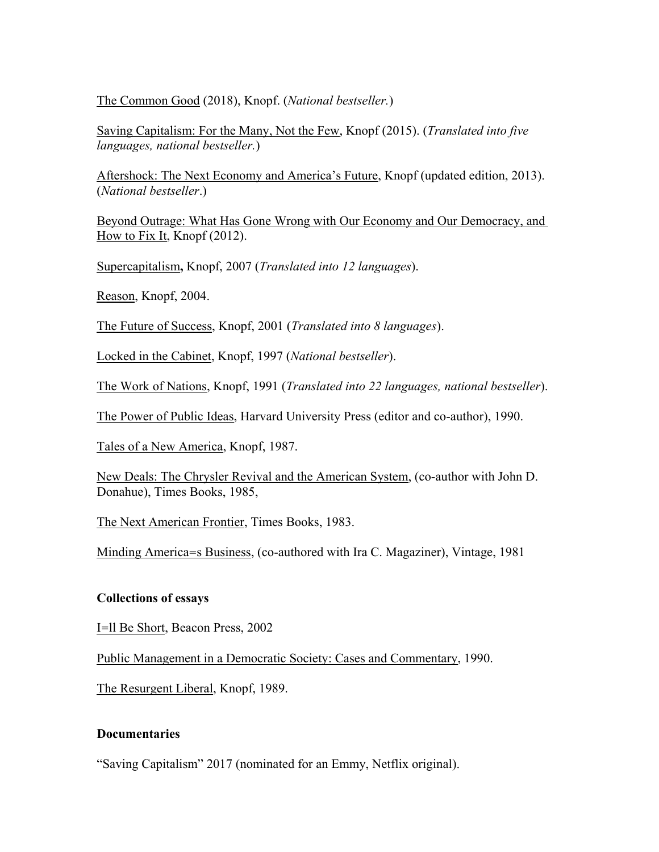The Common Good (2018), Knopf. (*National bestseller.*)

Saving Capitalism: For the Many, Not the Few, Knopf (2015). (*Translated into five languages, national bestseller.*)

Aftershock: The Next Economy and America's Future, Knopf (updated edition, 2013). (*National bestseller*.)

Beyond Outrage: What Has Gone Wrong with Our Economy and Our Democracy, and How to Fix It, Knopf (2012).

Supercapitalism**,** Knopf, 2007 (*Translated into 12 languages*).

Reason, Knopf, 2004.

The Future of Success, Knopf, 2001 (*Translated into 8 languages*).

Locked in the Cabinet, Knopf, 1997 (*National bestseller*).

The Work of Nations, Knopf, 1991 (*Translated into 22 languages, national bestseller*).

The Power of Public Ideas, Harvard University Press (editor and co-author), 1990.

Tales of a New America, Knopf, 1987.

New Deals: The Chrysler Revival and the American System, (co-author with John D. Donahue), Times Books, 1985,

The Next American Frontier, Times Books, 1983.

Minding America=s Business, (co-authored with Ira C. Magaziner), Vintage, 1981

### **Collections of essays**

I=ll Be Short, Beacon Press, 2002

Public Management in a Democratic Society: Cases and Commentary, 1990.

The Resurgent Liberal, Knopf, 1989.

## **Documentaries**

"Saving Capitalism" 2017 (nominated for an Emmy, Netflix original).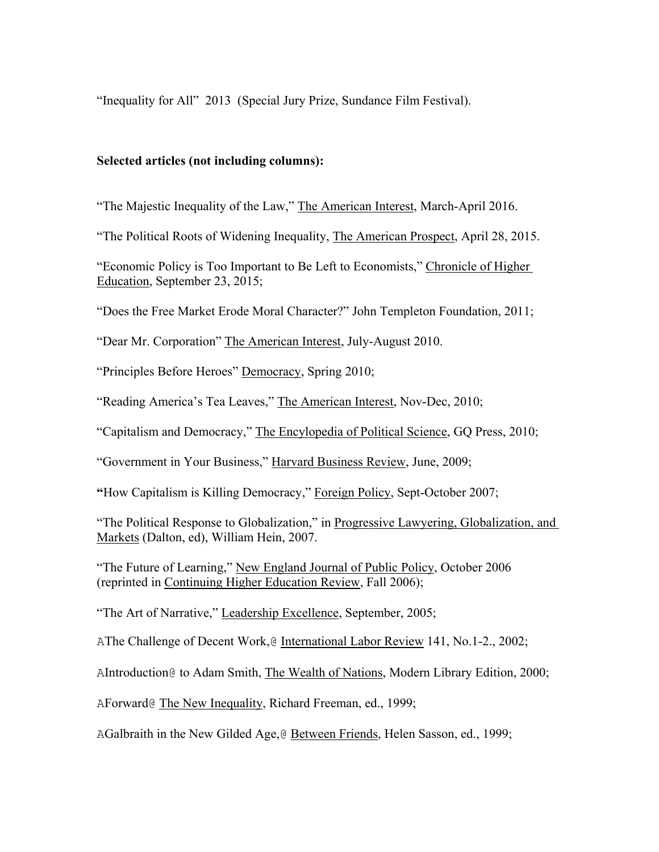"Inequality for All" 2013 (Special Jury Prize, Sundance Film Festival).

## **Selected articles (not including columns):**

"The Majestic Inequality of the Law," The American Interest, March-April 2016.

"The Political Roots of Widening Inequality, The American Prospect, April 28, 2015.

"Economic Policy is Too Important to Be Left to Economists," Chronicle of Higher Education, September 23, 2015;

"Does the Free Market Erode Moral Character?" John Templeton Foundation, 2011;

"Dear Mr. Corporation" The American Interest, July-August 2010.

"Principles Before Heroes" Democracy, Spring 2010;

"Reading America's Tea Leaves," The American Interest, Nov-Dec, 2010;

"Capitalism and Democracy," The Encylopedia of Political Science, GQ Press, 2010;

"Government in Your Business," Harvard Business Review, June, 2009;

**"**How Capitalism is Killing Democracy," Foreign Policy, Sept-October 2007;

"The Political Response to Globalization," in Progressive Lawyering, Globalization, and Markets (Dalton, ed), William Hein, 2007.

"The Future of Learning," New England Journal of Public Policy, October 2006 (reprinted in Continuing Higher Education Review, Fall 2006);

"The Art of Narrative," Leadership Excellence, September, 2005;

AThe Challenge of Decent Work,@ International Labor Review 141, No.1-2., 2002;

AIntroduction@ to Adam Smith, The Wealth of Nations, Modern Library Edition, 2000;

AForward@ The New Inequality, Richard Freeman, ed., 1999;

AGalbraith in the New Gilded Age,@ Between Friends, Helen Sasson, ed., 1999;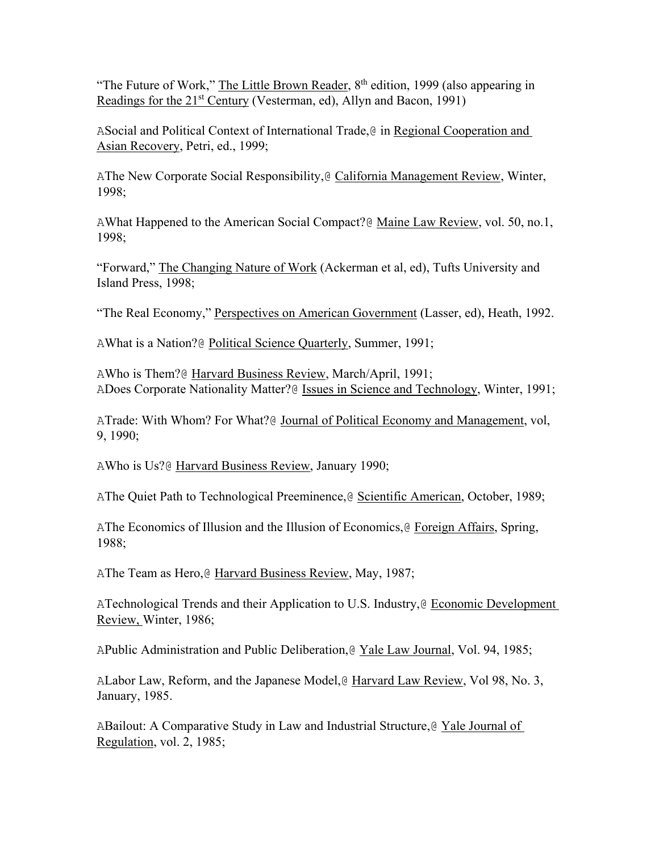"The Future of Work," The Little Brown Reader, 8<sup>th</sup> edition, 1999 (also appearing in Readings for the 21<sup>st</sup> Century (Vesterman, ed), Allyn and Bacon, 1991)

ASocial and Political Context of International Trade,@ in Regional Cooperation and Asian Recovery, Petri, ed., 1999;

AThe New Corporate Social Responsibility, @ California Management Review, Winter, 1998;

AWhat Happened to the American Social Compact?@ Maine Law Review, vol. 50, no.1, 1998;

"Forward," The Changing Nature of Work (Ackerman et al, ed), Tufts University and Island Press, 1998;

"The Real Economy," Perspectives on American Government (Lasser, ed), Heath, 1992.

AWhat is a Nation?@ Political Science Quarterly, Summer, 1991;

AWho is Them?@ Harvard Business Review, March/April, 1991; ADoes Corporate Nationality Matter?@ Issues in Science and Technology, Winter, 1991;

ATrade: With Whom? For What?@ Journal of Political Economy and Management, vol, 9, 1990;

AWho is Us?@ Harvard Business Review, January 1990;

AThe Quiet Path to Technological Preeminence, @ Scientific American, October, 1989;

AThe Economics of Illusion and the Illusion of Economics,@ Foreign Affairs, Spring, 1988;

AThe Team as Hero, @ Harvard Business Review, May, 1987;

ATechnological Trends and their Application to U.S. Industry,@ Economic Development Review, Winter, 1986;

APublic Administration and Public Deliberation,@ Yale Law Journal, Vol. 94, 1985;

ALabor Law, Reform, and the Japanese Model,@ Harvard Law Review, Vol 98, No. 3, January, 1985.

ABailout: A Comparative Study in Law and Industrial Structure,@ Yale Journal of Regulation, vol. 2, 1985;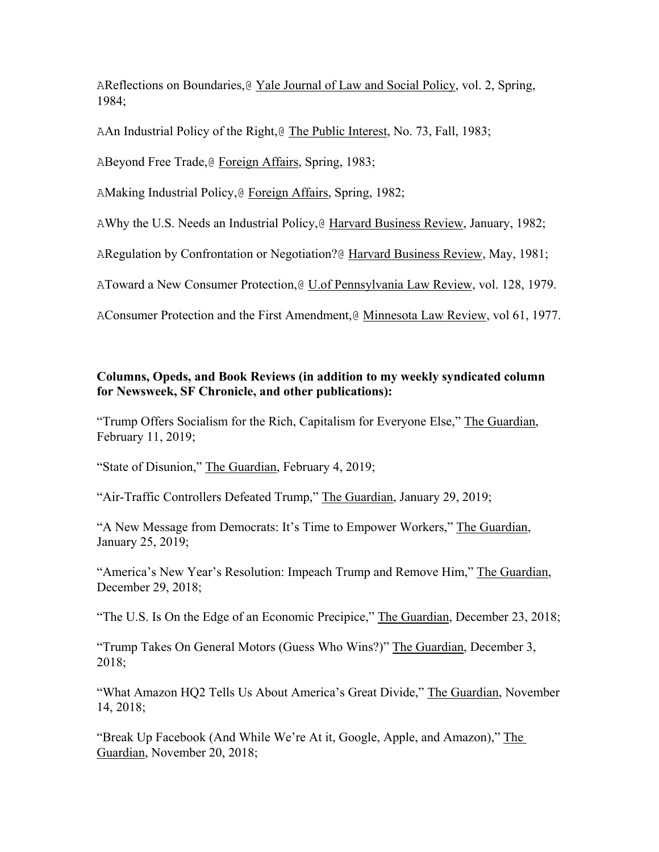AReflections on Boundaries,@ Yale Journal of Law and Social Policy, vol. 2, Spring, 1984;

AAn Industrial Policy of the Right,@ The Public Interest, No. 73, Fall, 1983;

ABeyond Free Trade,@ Foreign Affairs, Spring, 1983;

AMaking Industrial Policy,@ Foreign Affairs, Spring, 1982;

AWhy the U.S. Needs an Industrial Policy, @ Harvard Business Review, January, 1982;

ARegulation by Confrontation or Negotiation?@ Harvard Business Review, May, 1981;

AToward a New Consumer Protection,@ U.of Pennsylvania Law Review, vol. 128, 1979.

AConsumer Protection and the First Amendment,@ Minnesota Law Review, vol 61, 1977.

# **Columns, Opeds, and Book Reviews (in addition to my weekly syndicated column for Newsweek, SF Chronicle, and other publications):**

"Trump Offers Socialism for the Rich, Capitalism for Everyone Else," The Guardian, February 11, 2019;

"State of Disunion," The Guardian, February 4, 2019;

"Air-Traffic Controllers Defeated Trump," The Guardian, January 29, 2019;

"A New Message from Democrats: It's Time to Empower Workers," The Guardian, January 25, 2019;

"America's New Year's Resolution: Impeach Trump and Remove Him," The Guardian, December 29, 2018;

"The U.S. Is On the Edge of an Economic Precipice," The Guardian, December 23, 2018;

"Trump Takes On General Motors (Guess Who Wins?)" The Guardian, December 3, 2018;

"What Amazon HQ2 Tells Us About America's Great Divide," The Guardian, November 14, 2018;

"Break Up Facebook (And While We're At it, Google, Apple, and Amazon)," The Guardian, November 20, 2018;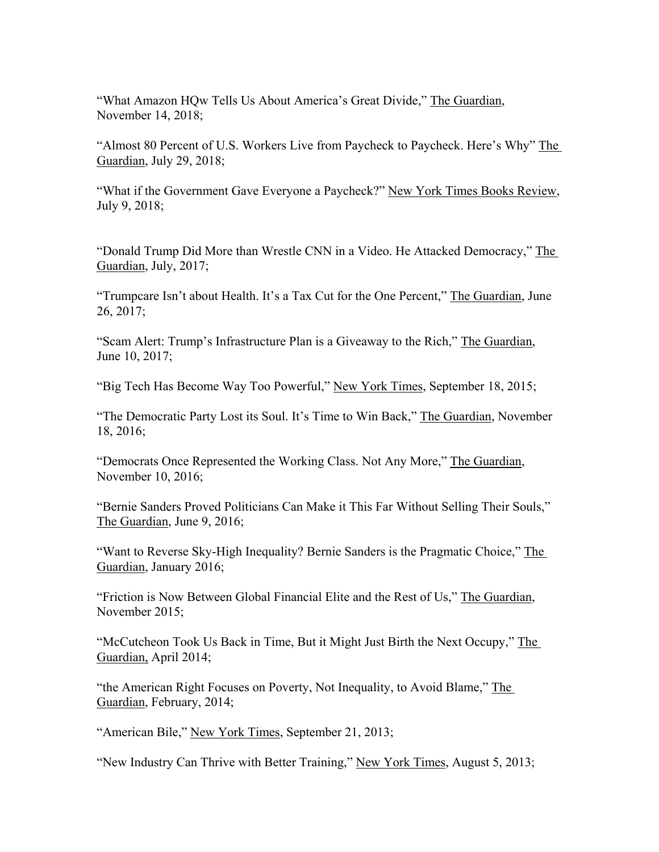"What Amazon HQw Tells Us About America's Great Divide," The Guardian, November 14, 2018;

"Almost 80 Percent of U.S. Workers Live from Paycheck to Paycheck. Here's Why" The Guardian, July 29, 2018;

"What if the Government Gave Everyone a Paycheck?" New York Times Books Review, July 9, 2018;

"Donald Trump Did More than Wrestle CNN in a Video. He Attacked Democracy," The Guardian, July, 2017;

"Trumpcare Isn't about Health. It's a Tax Cut for the One Percent," The Guardian, June 26, 2017;

"Scam Alert: Trump's Infrastructure Plan is a Giveaway to the Rich," The Guardian, June 10, 2017;

"Big Tech Has Become Way Too Powerful," New York Times, September 18, 2015;

"The Democratic Party Lost its Soul. It's Time to Win Back," The Guardian, November 18, 2016;

"Democrats Once Represented the Working Class. Not Any More," The Guardian, November 10, 2016;

"Bernie Sanders Proved Politicians Can Make it This Far Without Selling Their Souls," The Guardian, June 9, 2016;

"Want to Reverse Sky-High Inequality? Bernie Sanders is the Pragmatic Choice," The Guardian, January 2016;

"Friction is Now Between Global Financial Elite and the Rest of Us," The Guardian, November 2015;

"McCutcheon Took Us Back in Time, But it Might Just Birth the Next Occupy," The Guardian, April 2014;

"the American Right Focuses on Poverty, Not Inequality, to Avoid Blame," The Guardian, February, 2014;

"American Bile," New York Times, September 21, 2013;

"New Industry Can Thrive with Better Training," New York Times, August 5, 2013;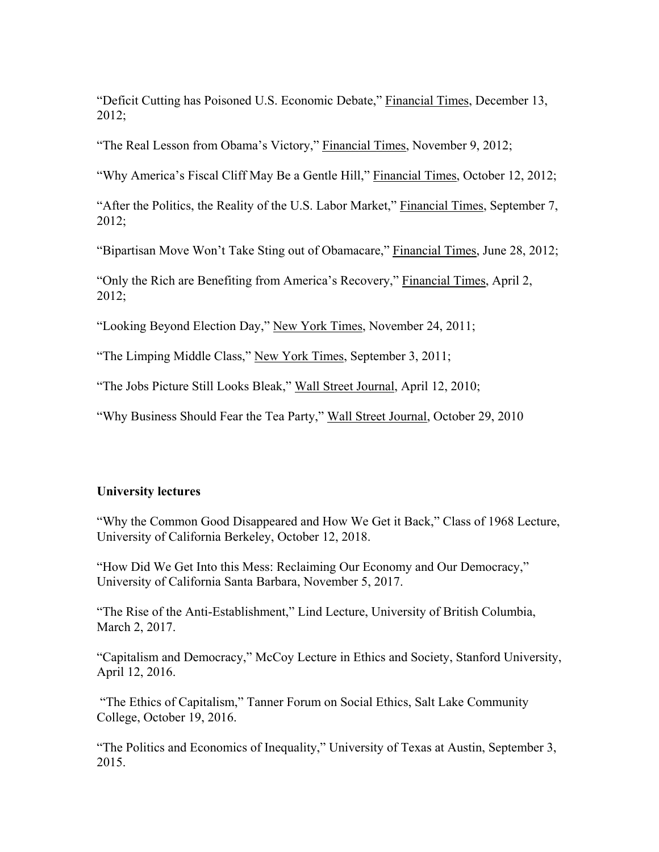"Deficit Cutting has Poisoned U.S. Economic Debate," Financial Times, December 13, 2012;

"The Real Lesson from Obama's Victory," Financial Times, November 9, 2012;

"Why America's Fiscal Cliff May Be a Gentle Hill," Financial Times, October 12, 2012;

"After the Politics, the Reality of the U.S. Labor Market," Financial Times, September 7, 2012;

"Bipartisan Move Won't Take Sting out of Obamacare," Financial Times, June 28, 2012;

"Only the Rich are Benefiting from America's Recovery," Financial Times, April 2, 2012;

"Looking Beyond Election Day," New York Times, November 24, 2011;

"The Limping Middle Class," New York Times, September 3, 2011;

"The Jobs Picture Still Looks Bleak," Wall Street Journal, April 12, 2010;

"Why Business Should Fear the Tea Party," Wall Street Journal, October 29, 2010

### **University lectures**

"Why the Common Good Disappeared and How We Get it Back," Class of 1968 Lecture, University of California Berkeley, October 12, 2018.

"How Did We Get Into this Mess: Reclaiming Our Economy and Our Democracy," University of California Santa Barbara, November 5, 2017.

"The Rise of the Anti-Establishment," Lind Lecture, University of British Columbia, March 2, 2017.

"Capitalism and Democracy," McCoy Lecture in Ethics and Society, Stanford University, April 12, 2016.

"The Ethics of Capitalism," Tanner Forum on Social Ethics, Salt Lake Community College, October 19, 2016.

"The Politics and Economics of Inequality," University of Texas at Austin, September 3, 2015.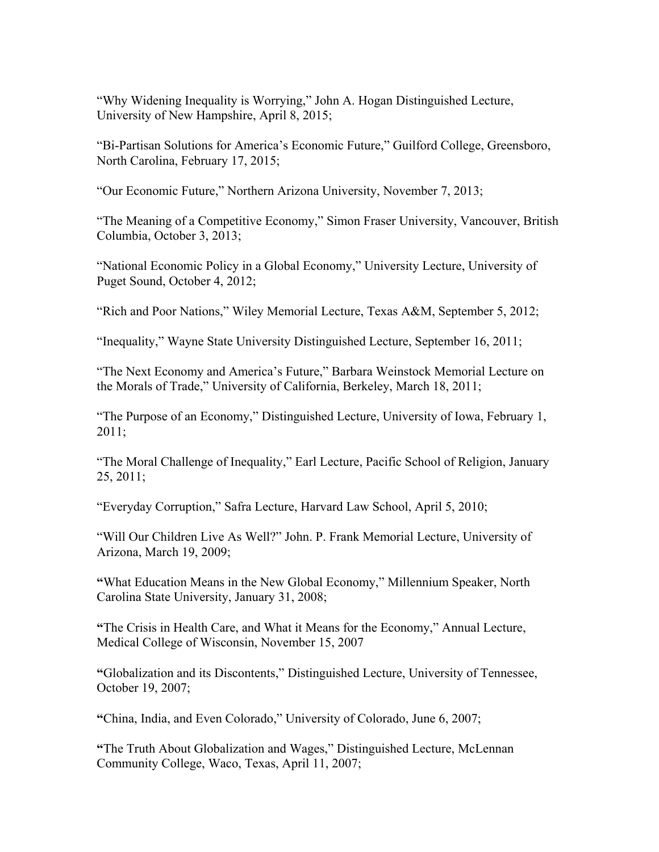"Why Widening Inequality is Worrying," John A. Hogan Distinguished Lecture, University of New Hampshire, April 8, 2015;

"Bi-Partisan Solutions for America's Economic Future," Guilford College, Greensboro, North Carolina, February 17, 2015;

"Our Economic Future," Northern Arizona University, November 7, 2013;

"The Meaning of a Competitive Economy," Simon Fraser University, Vancouver, British Columbia, October 3, 2013;

"National Economic Policy in a Global Economy," University Lecture, University of Puget Sound, October 4, 2012;

"Rich and Poor Nations," Wiley Memorial Lecture, Texas A&M, September 5, 2012;

"Inequality," Wayne State University Distinguished Lecture, September 16, 2011;

"The Next Economy and America's Future," Barbara Weinstock Memorial Lecture on the Morals of Trade," University of California, Berkeley, March 18, 2011;

"The Purpose of an Economy," Distinguished Lecture, University of Iowa, February 1, 2011;

"The Moral Challenge of Inequality," Earl Lecture, Pacific School of Religion, January 25, 2011;

"Everyday Corruption," Safra Lecture, Harvard Law School, April 5, 2010;

"Will Our Children Live As Well?" John. P. Frank Memorial Lecture, University of Arizona, March 19, 2009;

**"**What Education Means in the New Global Economy," Millennium Speaker, North Carolina State University, January 31, 2008;

**"**The Crisis in Health Care, and What it Means for the Economy," Annual Lecture, Medical College of Wisconsin, November 15, 2007

**"**Globalization and its Discontents," Distinguished Lecture, University of Tennessee, October 19, 2007;

**"**China, India, and Even Colorado," University of Colorado, June 6, 2007;

**"**The Truth About Globalization and Wages," Distinguished Lecture, McLennan Community College, Waco, Texas, April 11, 2007;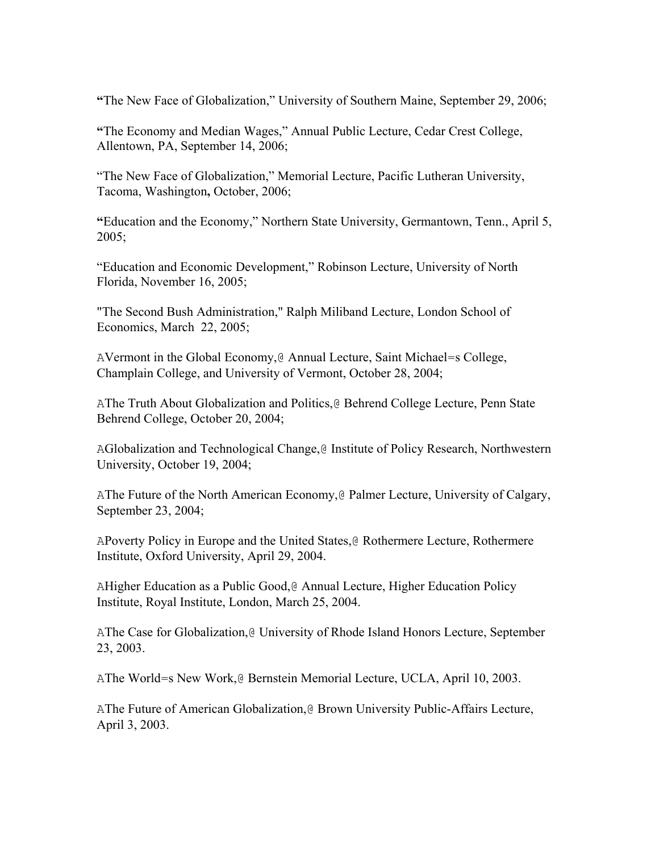**"**The New Face of Globalization," University of Southern Maine, September 29, 2006;

**"**The Economy and Median Wages," Annual Public Lecture, Cedar Crest College, Allentown, PA, September 14, 2006;

"The New Face of Globalization," Memorial Lecture, Pacific Lutheran University, Tacoma, Washington**,** October, 2006;

**"**Education and the Economy," Northern State University, Germantown, Tenn., April 5, 2005;

"Education and Economic Development," Robinson Lecture, University of North Florida, November 16, 2005;

"The Second Bush Administration," Ralph Miliband Lecture, London School of Economics, March 22, 2005;

AVermont in the Global Economy,@ Annual Lecture, Saint Michael=s College, Champlain College, and University of Vermont, October 28, 2004;

AThe Truth About Globalization and Politics,@ Behrend College Lecture, Penn State Behrend College, October 20, 2004;

AGlobalization and Technological Change,@ Institute of Policy Research, Northwestern University, October 19, 2004;

AThe Future of the North American Economy,@ Palmer Lecture, University of Calgary, September 23, 2004;

APoverty Policy in Europe and the United States,@ Rothermere Lecture, Rothermere Institute, Oxford University, April 29, 2004.

AHigher Education as a Public Good,@ Annual Lecture, Higher Education Policy Institute, Royal Institute, London, March 25, 2004.

AThe Case for Globalization,@ University of Rhode Island Honors Lecture, September 23, 2003.

AThe World=s New Work,@ Bernstein Memorial Lecture, UCLA, April 10, 2003.

AThe Future of American Globalization,@ Brown University Public-Affairs Lecture, April 3, 2003.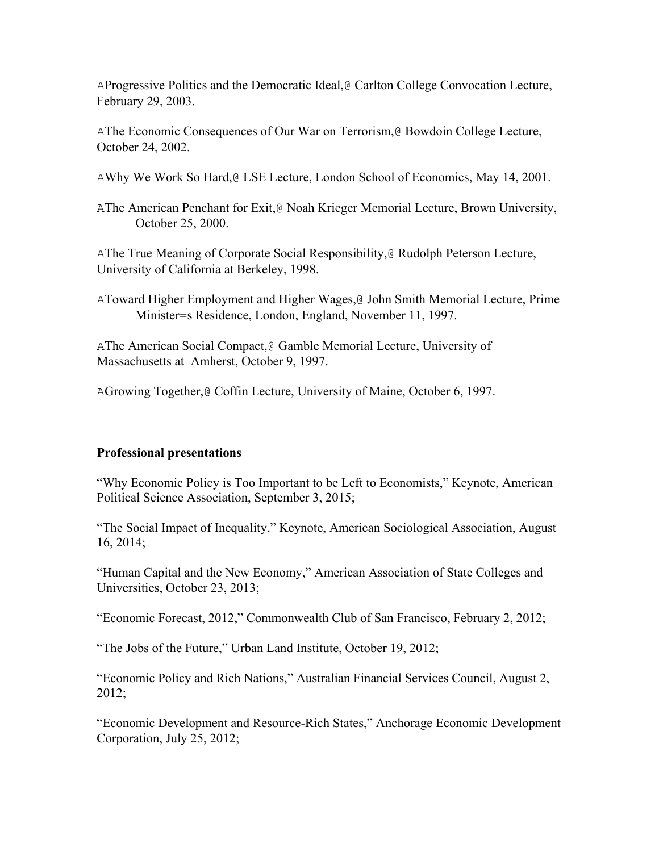AProgressive Politics and the Democratic Ideal,@ Carlton College Convocation Lecture, February 29, 2003.

AThe Economic Consequences of Our War on Terrorism,@ Bowdoin College Lecture, October 24, 2002.

AWhy We Work So Hard,@ LSE Lecture, London School of Economics, May 14, 2001.

AThe American Penchant for Exit,@ Noah Krieger Memorial Lecture, Brown University, October 25, 2000.

AThe True Meaning of Corporate Social Responsibility,@ Rudolph Peterson Lecture, University of California at Berkeley, 1998.

AToward Higher Employment and Higher Wages,@ John Smith Memorial Lecture, Prime Minister=s Residence, London, England, November 11, 1997.

AThe American Social Compact,@ Gamble Memorial Lecture, University of Massachusetts at Amherst, October 9, 1997.

AGrowing Together,@ Coffin Lecture, University of Maine, October 6, 1997.

# **Professional presentations**

"Why Economic Policy is Too Important to be Left to Economists," Keynote, American Political Science Association, September 3, 2015;

"The Social Impact of Inequality," Keynote, American Sociological Association, August 16, 2014;

"Human Capital and the New Economy," American Association of State Colleges and Universities, October 23, 2013;

"Economic Forecast, 2012," Commonwealth Club of San Francisco, February 2, 2012;

"The Jobs of the Future," Urban Land Institute, October 19, 2012;

"Economic Policy and Rich Nations," Australian Financial Services Council, August 2, 2012;

"Economic Development and Resource-Rich States," Anchorage Economic Development Corporation, July 25, 2012;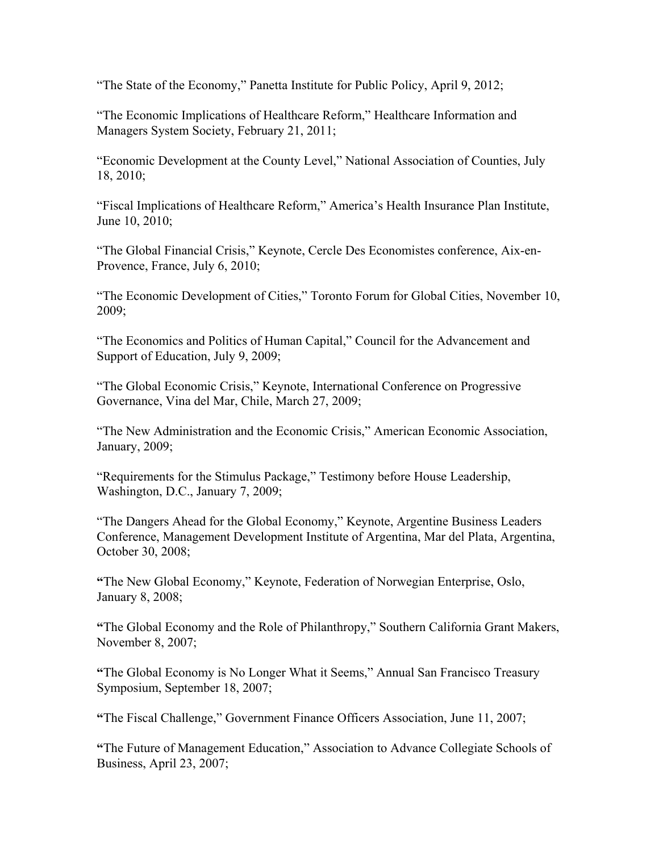"The State of the Economy," Panetta Institute for Public Policy, April 9, 2012;

"The Economic Implications of Healthcare Reform," Healthcare Information and Managers System Society, February 21, 2011;

"Economic Development at the County Level," National Association of Counties, July 18, 2010;

"Fiscal Implications of Healthcare Reform," America's Health Insurance Plan Institute, June 10, 2010;

"The Global Financial Crisis," Keynote, Cercle Des Economistes conference, Aix-en-Provence, France, July 6, 2010;

"The Economic Development of Cities," Toronto Forum for Global Cities, November 10, 2009;

"The Economics and Politics of Human Capital," Council for the Advancement and Support of Education, July 9, 2009;

"The Global Economic Crisis," Keynote, International Conference on Progressive Governance, Vina del Mar, Chile, March 27, 2009;

"The New Administration and the Economic Crisis," American Economic Association, January, 2009;

"Requirements for the Stimulus Package," Testimony before House Leadership, Washington, D.C., January 7, 2009;

"The Dangers Ahead for the Global Economy," Keynote, Argentine Business Leaders Conference, Management Development Institute of Argentina, Mar del Plata, Argentina, October 30, 2008;

**"**The New Global Economy," Keynote, Federation of Norwegian Enterprise, Oslo, January 8, 2008;

**"**The Global Economy and the Role of Philanthropy," Southern California Grant Makers, November 8, 2007;

**"**The Global Economy is No Longer What it Seems," Annual San Francisco Treasury Symposium, September 18, 2007;

**"**The Fiscal Challenge," Government Finance Officers Association, June 11, 2007;

**"**The Future of Management Education," Association to Advance Collegiate Schools of Business, April 23, 2007;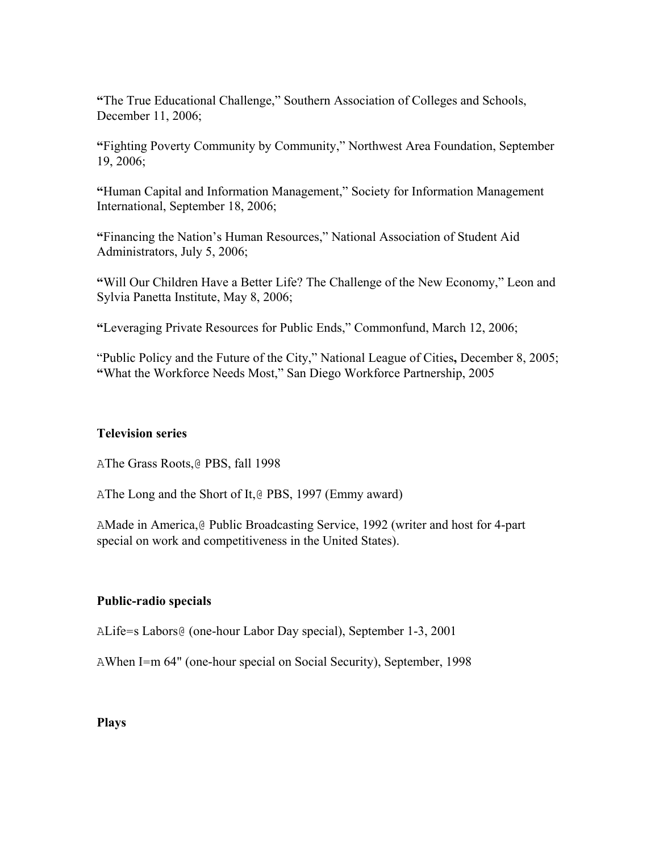**"**The True Educational Challenge," Southern Association of Colleges and Schools, December 11, 2006;

**"**Fighting Poverty Community by Community," Northwest Area Foundation, September 19, 2006;

**"**Human Capital and Information Management," Society for Information Management International, September 18, 2006;

**"**Financing the Nation's Human Resources," National Association of Student Aid Administrators, July 5, 2006;

**"**Will Our Children Have a Better Life? The Challenge of the New Economy," Leon and Sylvia Panetta Institute, May 8, 2006;

**"**Leveraging Private Resources for Public Ends," Commonfund, March 12, 2006;

"Public Policy and the Future of the City," National League of Cities**,** December 8, 2005; **"**What the Workforce Needs Most," San Diego Workforce Partnership, 2005

### **Television series**

AThe Grass Roots,@ PBS, fall 1998

AThe Long and the Short of It,@ PBS, 1997 (Emmy award)

AMade in America,@ Public Broadcasting Service, 1992 (writer and host for 4-part special on work and competitiveness in the United States).

# **Public-radio specials**

ALife=s Labors@ (one-hour Labor Day special), September 1-3, 2001

AWhen I=m 64" (one-hour special on Social Security), September, 1998

### **Plays**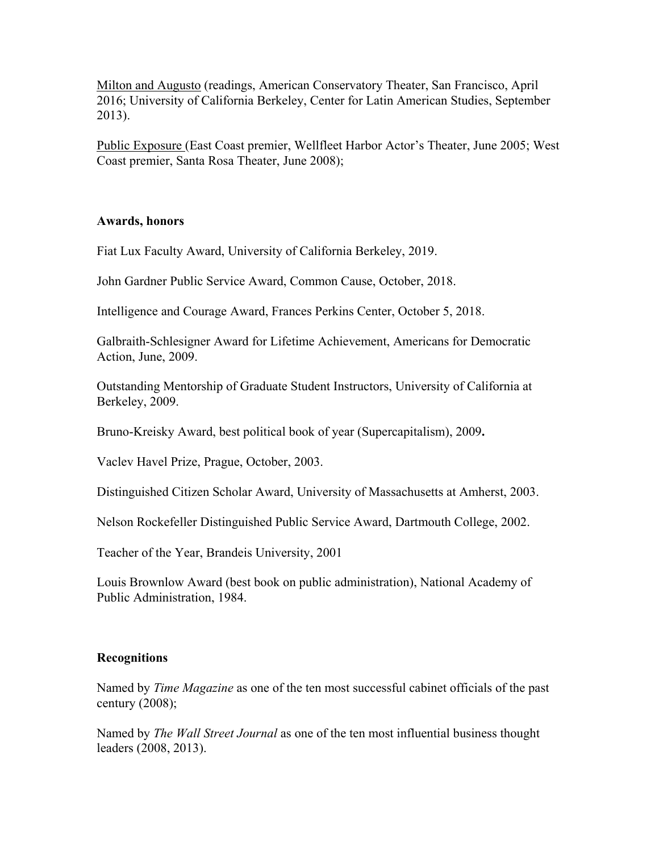Milton and Augusto (readings, American Conservatory Theater, San Francisco, April 2016; University of California Berkeley, Center for Latin American Studies, September 2013).

Public Exposure (East Coast premier, Wellfleet Harbor Actor's Theater, June 2005; West Coast premier, Santa Rosa Theater, June 2008);

#### **Awards, honors**

Fiat Lux Faculty Award, University of California Berkeley, 2019.

John Gardner Public Service Award, Common Cause, October, 2018.

Intelligence and Courage Award, Frances Perkins Center, October 5, 2018.

Galbraith-Schlesigner Award for Lifetime Achievement, Americans for Democratic Action, June, 2009.

Outstanding Mentorship of Graduate Student Instructors, University of California at Berkeley, 2009.

Bruno-Kreisky Award, best political book of year (Supercapitalism), 2009**.**

Vaclev Havel Prize, Prague, October, 2003.

Distinguished Citizen Scholar Award, University of Massachusetts at Amherst, 2003.

Nelson Rockefeller Distinguished Public Service Award, Dartmouth College, 2002.

Teacher of the Year, Brandeis University, 2001

Louis Brownlow Award (best book on public administration), National Academy of Public Administration, 1984.

#### **Recognitions**

Named by *Time Magazine* as one of the ten most successful cabinet officials of the past century (2008);

Named by *The Wall Street Journal* as one of the ten most influential business thought leaders (2008, 2013).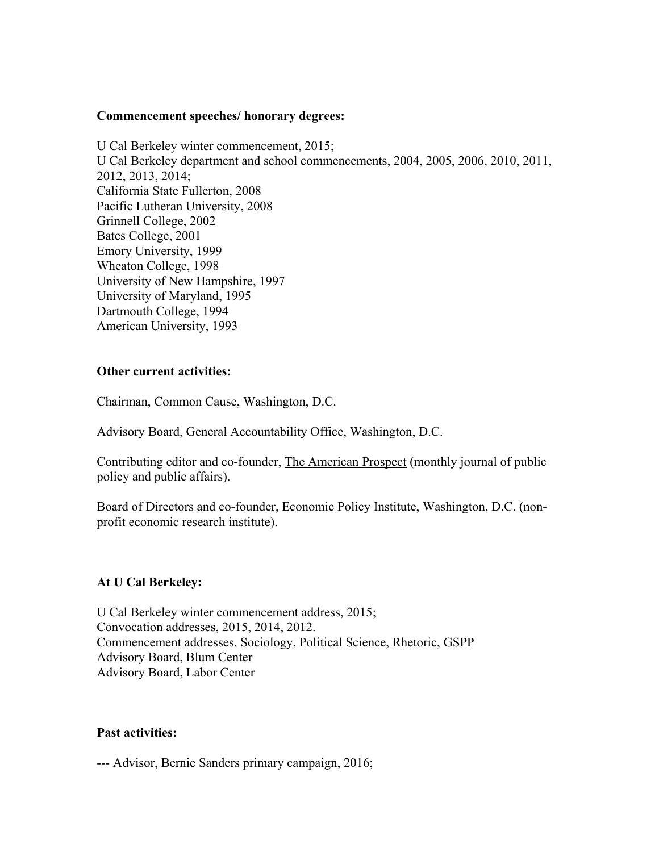#### **Commencement speeches/ honorary degrees:**

U Cal Berkeley winter commencement, 2015; U Cal Berkeley department and school commencements, 2004, 2005, 2006, 2010, 2011, 2012, 2013, 2014; California State Fullerton, 2008 Pacific Lutheran University, 2008 Grinnell College, 2002 Bates College, 2001 Emory University, 1999 Wheaton College, 1998 University of New Hampshire, 1997 University of Maryland, 1995 Dartmouth College, 1994 American University, 1993

#### **Other current activities:**

Chairman, Common Cause, Washington, D.C.

Advisory Board, General Accountability Office, Washington, D.C.

Contributing editor and co-founder, The American Prospect (monthly journal of public policy and public affairs).

Board of Directors and co-founder, Economic Policy Institute, Washington, D.C. (nonprofit economic research institute).

#### **At U Cal Berkeley:**

U Cal Berkeley winter commencement address, 2015; Convocation addresses, 2015, 2014, 2012. Commencement addresses, Sociology, Political Science, Rhetoric, GSPP Advisory Board, Blum Center Advisory Board, Labor Center

#### **Past activities:**

--- Advisor, Bernie Sanders primary campaign, 2016;